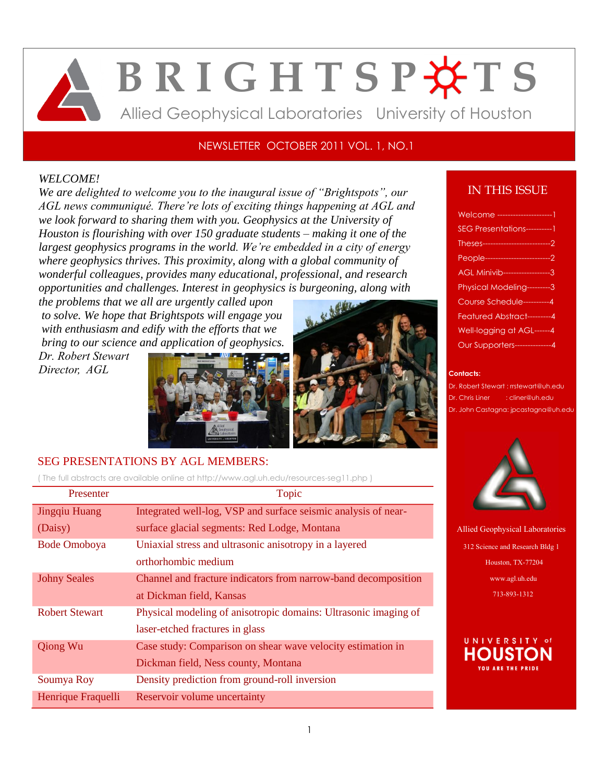# **B R I G H T S P O T S** Allied Geophysical Laboratories University of Houston

## NEWSLETTER OCTOBER 2011 VOL. 1, NO.1

## *WELCOME!*

*We are delighted to welcome you to the inaugural issue of "Brightspots", our AGL news communiqué. There're lots of exciting things happening at AGL and we look forward to sharing them with you. Geophysics at the University of Houston is flourishing with over 150 graduate students – making it one of the largest geophysics programs in the world. We're embedded in a city of energy where geophysics thrives. This proximity, along with a global community of wonderful colleagues, provides many educational, professional, and research opportunities and challenges. Interest in geophysics is burgeoning, along with* 

*the problems that we all are urgently called upon to solve. We hope that Brightspots will engage you with enthusiasm and edify with the efforts that we bring to our science and application of geophysics.*

*Dr. Robert Stewart Director, AGL*





## SEG PRESENTATIONS BY AGL MEMBERS:

( The full abstracts are available online a[t http://www.agl.uh.edu/resources-seg11.php](http://www.agl.uh.edu/resources-seg11.php) )

| Presenter             | Topic                                                           |
|-----------------------|-----------------------------------------------------------------|
| Jingqiu Huang         | Integrated well-log, VSP and surface seismic analysis of near-  |
| (Daisy)               | surface glacial segments: Red Lodge, Montana                    |
| <b>Bode Omoboya</b>   | Uniaxial stress and ultrasonic anisotropy in a layered          |
|                       | orthorhombic medium                                             |
| <b>Johny Seales</b>   | Channel and fracture indicators from narrow-band decomposition  |
|                       | at Dickman field, Kansas                                        |
| <b>Robert Stewart</b> | Physical modeling of anisotropic domains: Ultrasonic imaging of |
|                       | laser-etched fractures in glass                                 |
| <b>Qiong Wu</b>       | Case study: Comparison on shear wave velocity estimation in     |
|                       | Dickman field, Ness county, Montana                             |
| Soumya Roy            | Density prediction from ground-roll inversion                   |
| Henrique Fraquelli    | Reservoir volume uncertainty                                    |

# IN THIS ISSUE

| Welcome --------------------         |
|--------------------------------------|
| SEG Presentations-----------1        |
|                                      |
| People-----------------------------2 |
| AGL Minivib-------------------3      |
| Physical Modeling---------3          |
| Course Schedule----------4           |
| Featured Abstract---------4          |
| Well-logging at AGL------4           |
| <b>Our Supporters-------------4</b>  |
|                                      |

#### **Contacts:**

- Dr. Robert Stewart : [rrstewart@uh.edu](mailto:rrstewart@uh.edu)
- Dr. Chris Liner [: cliner@uh.edu](mailto:cliner@uh.edu)
- Dr. John Castagna: jpcastagna@uh.edu



Allied Geophysical Laboratories 312 Science and Research Bldg 1 Houston, TX-77204 [www.agl.uh.edu](http://www.agl.uh.edu/) 713-893-1312

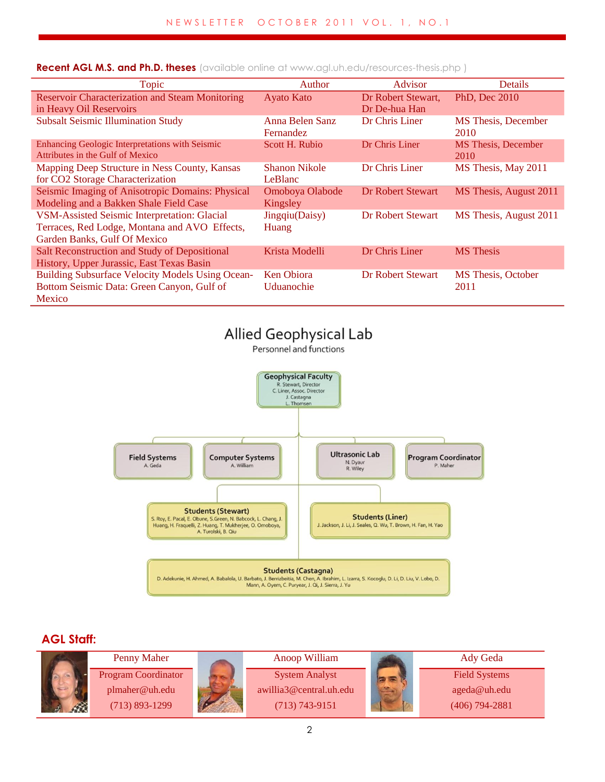| Topic                                                   | Author               | Advisor                  | Details                    |
|---------------------------------------------------------|----------------------|--------------------------|----------------------------|
| <b>Reservoir Characterization and Steam Monitoring</b>  | <b>Ayato Kato</b>    | Dr Robert Stewart,       | PhD, Dec 2010              |
| in Heavy Oil Reservoirs                                 |                      | Dr De-hua Han            |                            |
| <b>Subsalt Seismic Illumination Study</b>               | Anna Belen Sanz      | Dr Chris Liner           | <b>MS</b> Thesis, December |
|                                                         | <b>Fernandez</b>     |                          | 2010                       |
| Enhancing Geologic Interpretations with Seismic         | Scott H. Rubio       | Dr Chris Liner           | <b>MS</b> Thesis, December |
| Attributes in the Gulf of Mexico                        |                      |                          | 2010                       |
| Mapping Deep Structure in Ness County, Kansas           | <b>Shanon Nikole</b> | Dr Chris Liner           | MS Thesis, May 2011        |
| for CO2 Storage Characterization                        | LeBlanc              |                          |                            |
| Seismic Imaging of Anisotropic Domains: Physical        | Omoboya Olabode      | <b>Dr Robert Stewart</b> | MS Thesis, August 2011     |
| Modeling and a Bakken Shale Field Case                  | Kingsley             |                          |                            |
| <b>VSM-Assisted Seismic Interpretation: Glacial</b>     | Jingqiu(Daisy)       | <b>Dr Robert Stewart</b> | MS Thesis, August 2011     |
| Terraces, Red Lodge, Montana and AVO Effects,           | Huang                |                          |                            |
| Garden Banks, Gulf Of Mexico                            |                      |                          |                            |
| Salt Reconstruction and Study of Depositional           | Krista Modelli       | Dr Chris Liner           | <b>MS</b> Thesis           |
| History, Upper Jurassic, East Texas Basin               |                      |                          |                            |
| <b>Building Subsurface Velocity Models Using Ocean-</b> | <b>Ken Obiora</b>    | <b>Dr Robert Stewart</b> | MS Thesis, October         |
| Bottom Seismic Data: Green Canyon, Gulf of              | Uduanochie           |                          | 2011                       |
| Mexico                                                  |                      |                          |                            |

**Recent AGL M.S. and Ph.D. theses** (available online a[t www.agl.uh.edu/resources-thesis.php](http://www.agl.uh.edu/resources-thesis.php) )



## **AGL Staff:**

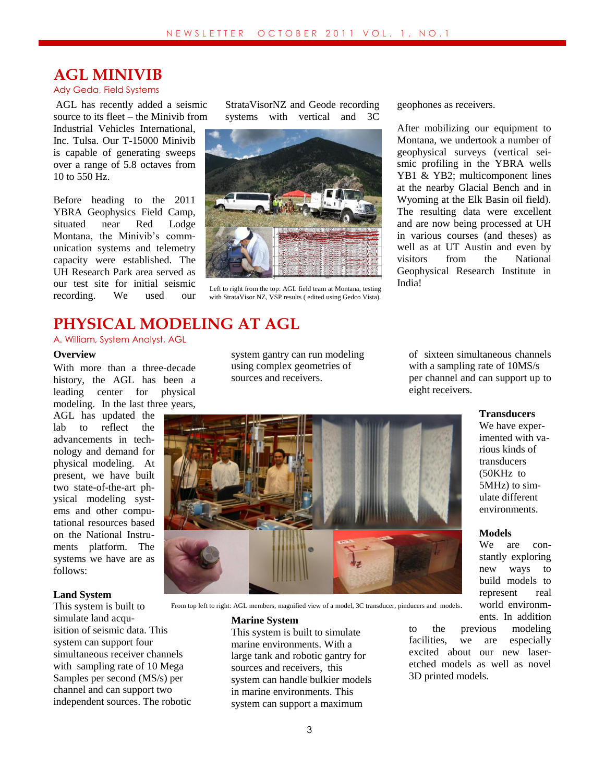# **AGL MINIVIB**

#### Ady Geda, Field Systems

AGL has recently added a seismic source to its fleet – the Minivib from Industrial Vehicles International, Inc. Tulsa. Our T-15000 Minivib is capable of generating sweeps over a range of 5.8 octaves from 10 to 550 Hz.

Before heading to the 2011 YBRA Geophysics Field Camp, situated near Red Lodge Montana, the Minivib's communication systems and telemetry capacity were established. The UH Research Park area served as our test site for initial seismic recording. We used our

StrataVisorNZ and Geode recording systems with vertical and 3C



Left to right from the top: AGL field team at Montana, testing with StrataVisor NZ, VSP results ( edited using Gedco Vista).

geophones as receivers.

After mobilizing our equipment to Montana, we undertook a number of geophysical surveys (vertical seismic profiling in the YBRA wells YB1 & YB2; multicomponent lines at the nearby Glacial Bench and in Wyoming at the Elk Basin oil field). The resulting data were excellent and are now being processed at UH in various courses (and theses) as well as at UT Austin and even by visitors from the National Geophysical Research Institute in India!

# **PHYSICAL MODELING AT AGL**

A. William, System Analyst, AGL

#### **Overview**

With more than a three-decade history, the AGL has been a leading center for physical modeling. In the last three years,

AGL has updated the lab to reflect the advancements in technology and demand for physical modeling. At present, we have built two state-of-the-art physical modeling systems and other computational resources based on the National Instruments platform. The systems we have are as follows:

#### **Land System**

This system is built to simulate land acquisition of seismic data. This system can support four simultaneous receiver channels with sampling rate of 10 Mega Samples per second (MS/s) per channel and can support two independent sources. The robotic From top left to right: AGL members, magnified view of a model, 3C transducer, pinducers and models.

system gantry can run modeling using complex geometries of sources and receivers.

of sixteen simultaneous channels with a sampling rate of 10MS/s per channel and can support up to eight receivers.



We have experimented with various kinds of transducers (50KHz to 5MHz) to simulate different environments.

#### **Models**

We are constantly exploring new ways to build models to represent real world environments. In addition

**Marine System** This system is built to simulate marine environments. With a large tank and robotic gantry for sources and receivers, this system can handle bulkier models in marine environments. This system can support a maximum

to the previous modeling facilities, we are especially excited about our new laseretched models as well as novel 3D printed models.